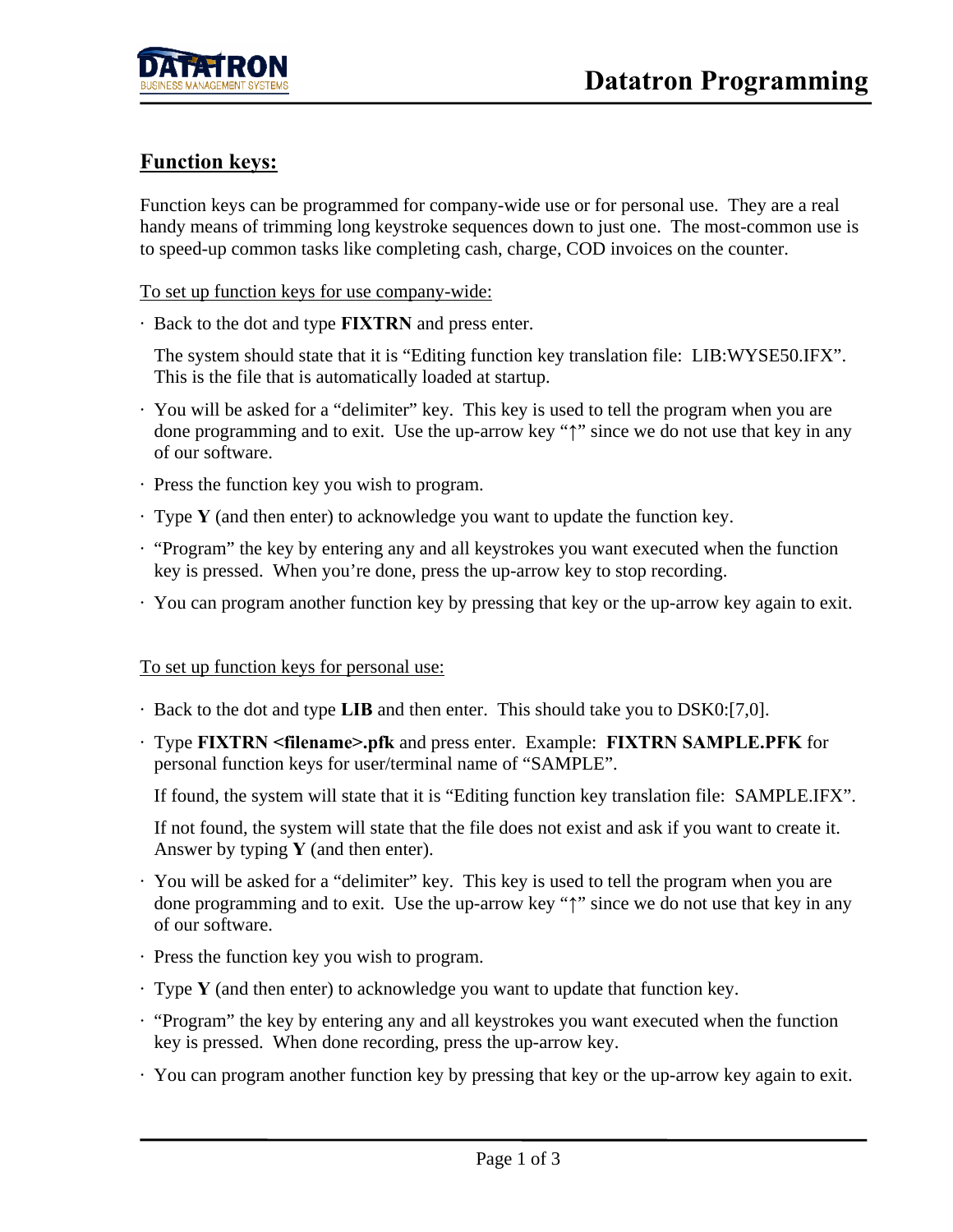## **Function keys:**

Function keys can be programmed for company-wide use or for personal use. They are a real handy means of trimming long keystroke sequences down to just one. The most-common use is to speed-up common tasks like completing cash, charge, COD invoices on the counter.

To set up function keys for use company-wide:

· Back to the dot and type **FIXTRN** and press enter.

 The system should state that it is "Editing function key translation file: LIB:WYSE50.IFX". This is the file that is automatically loaded at startup.

- · You will be asked for a "delimiter" key. This key is used to tell the program when you are done programming and to exit. Use the up-arrow key "**↑**" since we do not use that key in any of our software.
- · Press the function key you wish to program.
- · Type **Y** (and then enter) to acknowledge you want to update the function key.
- · "Program" the key by entering any and all keystrokes you want executed when the function key is pressed. When you're done, press the up-arrow key to stop recording.
- · You can program another function key by pressing that key or the up-arrow key again to exit.

## To set up function keys for personal use:

- · Back to the dot and type **LIB** and then enter. This should take you to DSK0:[7,0].
- · Type **FIXTRN <filename>.pfk** and press enter. Example: **FIXTRN SAMPLE.PFK** for personal function keys for user/terminal name of "SAMPLE".

If found, the system will state that it is "Editing function key translation file: SAMPLE.IFX".

 If not found, the system will state that the file does not exist and ask if you want to create it. Answer by typing **Y** (and then enter).

- · You will be asked for a "delimiter" key. This key is used to tell the program when you are done programming and to exit. Use the up-arrow key "**↑**" since we do not use that key in any of our software.
- · Press the function key you wish to program.
- · Type **Y** (and then enter) to acknowledge you want to update that function key.
- · "Program" the key by entering any and all keystrokes you want executed when the function key is pressed. When done recording, press the up-arrow key.
- · You can program another function key by pressing that key or the up-arrow key again to exit.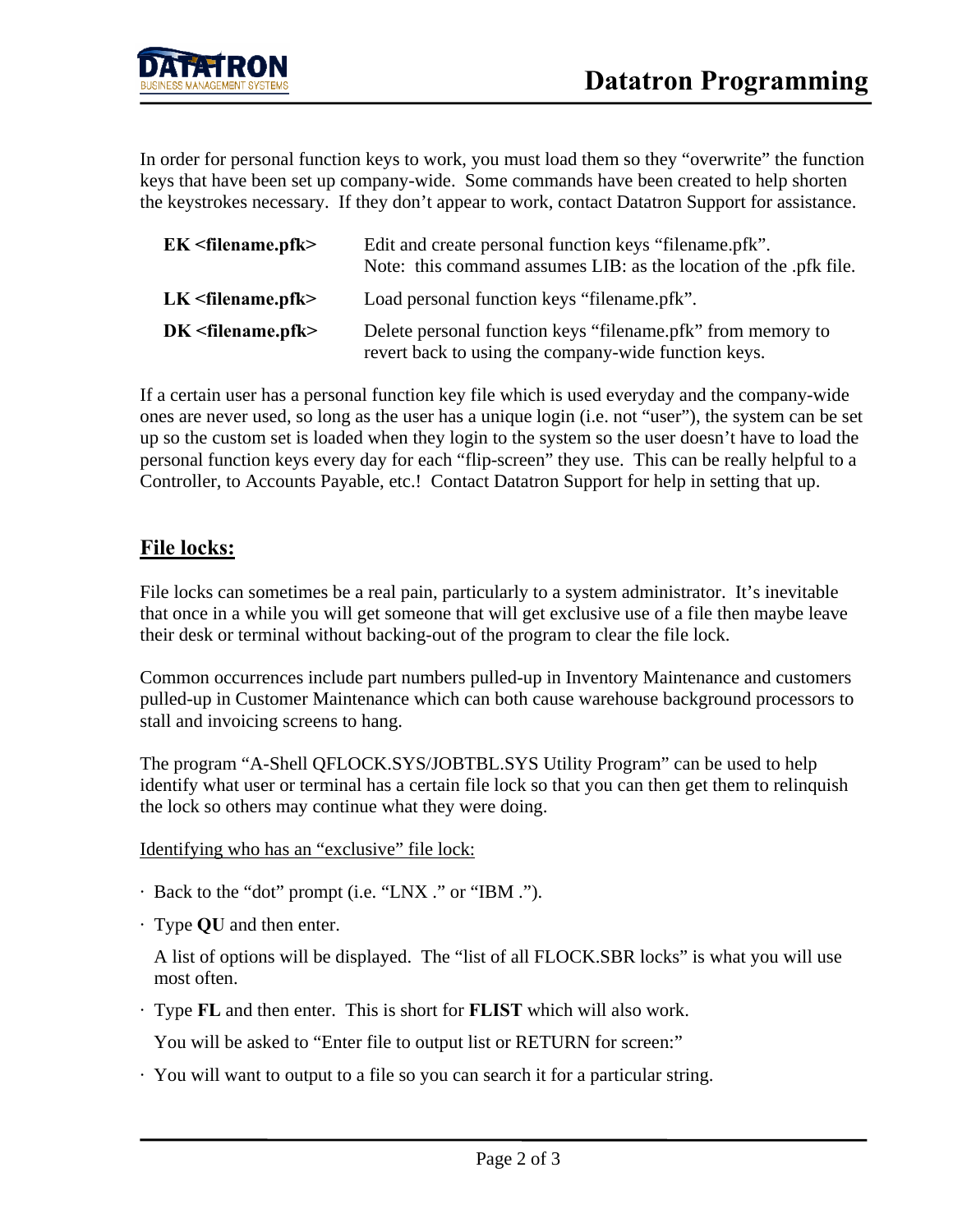In order for personal function keys to work, you must load them so they "overwrite" the function keys that have been set up company-wide. Some commands have been created to help shorten the keystrokes necessary. If they don't appear to work, contact Datatron Support for assistance.

| $EK <$ filename.pfk $>$ | Edit and create personal function keys "filename.pfk".<br>Note: this command assumes LIB: as the location of the .pfk file. |
|-------------------------|-----------------------------------------------------------------------------------------------------------------------------|
| $LK <$ filename.pfk>    | Load personal function keys "filename.pfk".                                                                                 |
| $DK <$ filename.pfk>    | Delete personal function keys "filename.pfk" from memory to<br>revert back to using the company-wide function keys.         |

If a certain user has a personal function key file which is used everyday and the company-wide ones are never used, so long as the user has a unique login (i.e. not "user"), the system can be set up so the custom set is loaded when they login to the system so the user doesn't have to load the personal function keys every day for each "flip-screen" they use. This can be really helpful to a Controller, to Accounts Payable, etc.! Contact Datatron Support for help in setting that up.

## **File locks:**

File locks can sometimes be a real pain, particularly to a system administrator. It's inevitable that once in a while you will get someone that will get exclusive use of a file then maybe leave their desk or terminal without backing-out of the program to clear the file lock.

Common occurrences include part numbers pulled-up in Inventory Maintenance and customers pulled-up in Customer Maintenance which can both cause warehouse background processors to stall and invoicing screens to hang.

The program "A-Shell QFLOCK.SYS/JOBTBL.SYS Utility Program" can be used to help identify what user or terminal has a certain file lock so that you can then get them to relinquish the lock so others may continue what they were doing.

Identifying who has an "exclusive" file lock:

- · Back to the "dot" prompt (i.e. "LNX ." or "IBM .").
- · Type **QU** and then enter.

 A list of options will be displayed. The "list of all FLOCK.SBR locks" is what you will use most often.

· Type **FL** and then enter. This is short for **FLIST** which will also work.

You will be asked to "Enter file to output list or RETURN for screen:"

· You will want to output to a file so you can search it for a particular string.